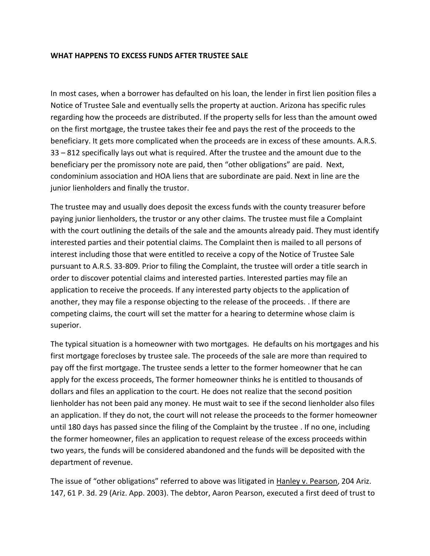## **WHAT HAPPENS TO EXCESS FUNDS AFTER TRUSTEE SALE**

In most cases, when a borrower has defaulted on his loan, the lender in first lien position files a Notice of Trustee Sale and eventually sells the property at auction. Arizona has specific rules regarding how the proceeds are distributed. If the property sells for less than the amount owed on the first mortgage, the trustee takes their fee and pays the rest of the proceeds to the beneficiary. It gets more complicated when the proceeds are in excess of these amounts. A.R.S. 33 – 812 specifically lays out what is required. After the trustee and the amount due to the beneficiary per the promissory note are paid, then "other obligations" are paid. Next, condominium association and HOA liens that are subordinate are paid. Next in line are the junior lienholders and finally the trustor.

The trustee may and usually does deposit the excess funds with the county treasurer before paying junior lienholders, the trustor or any other claims. The trustee must file a Complaint with the court outlining the details of the sale and the amounts already paid. They must identify interested parties and their potential claims. The Complaint then is mailed to all persons of interest including those that were entitled to receive a copy of the Notice of Trustee Sale pursuant to A.R.S. 33-809. Prior to filing the Complaint, the trustee will order a title search in order to discover potential claims and interested parties. Interested parties may file an application to receive the proceeds. If any interested party objects to the application of another, they may file a response objecting to the release of the proceeds. . If there are competing claims, the court will set the matter for a hearing to determine whose claim is superior.

The typical situation is a homeowner with two mortgages. He defaults on his mortgages and his first mortgage forecloses by trustee sale. The proceeds of the sale are more than required to pay off the first mortgage. The trustee sends a letter to the former homeowner that he can apply for the excess proceeds, The former homeowner thinks he is entitled to thousands of dollars and files an application to the court. He does not realize that the second position lienholder has not been paid any money. He must wait to see if the second lienholder also files an application. If they do not, the court will not release the proceeds to the former homeowner until 180 days has passed since the filing of the Complaint by the trustee . If no one, including the former homeowner, files an application to request release of the excess proceeds within two years, the funds will be considered abandoned and the funds will be deposited with the department of revenue.

The issue of "other obligations" referred to above was litigated in Hanley v. Pearson, 204 Ariz. 147, 61 P. 3d. 29 (Ariz. App. 2003). The debtor, Aaron Pearson, executed a first deed of trust to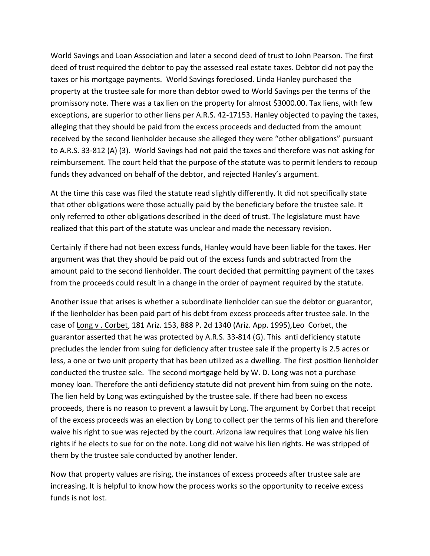World Savings and Loan Association and later a second deed of trust to John Pearson. The first deed of trust required the debtor to pay the assessed real estate taxes. Debtor did not pay the taxes or his mortgage payments. World Savings foreclosed. Linda Hanley purchased the property at the trustee sale for more than debtor owed to World Savings per the terms of the promissory note. There was a tax lien on the property for almost \$3000.00. Tax liens, with few exceptions, are superior to other liens per A.R.S. 42-17153. Hanley objected to paying the taxes, alleging that they should be paid from the excess proceeds and deducted from the amount received by the second lienholder because she alleged they were "other obligations" pursuant to A.R.S. 33-812 (A) (3). World Savings had not paid the taxes and therefore was not asking for reimbursement. The court held that the purpose of the statute was to permit lenders to recoup funds they advanced on behalf of the debtor, and rejected Hanley's argument.

At the time this case was filed the statute read slightly differently. It did not specifically state that other obligations were those actually paid by the beneficiary before the trustee sale. It only referred to other obligations described in the deed of trust. The legislature must have realized that this part of the statute was unclear and made the necessary revision.

Certainly if there had not been excess funds, Hanley would have been liable for the taxes. Her argument was that they should be paid out of the excess funds and subtracted from the amount paid to the second lienholder. The court decided that permitting payment of the taxes from the proceeds could result in a change in the order of payment required by the statute.

Another issue that arises is whether a subordinate lienholder can sue the debtor or guarantor, if the lienholder has been paid part of his debt from excess proceeds after trustee sale. In the case of Long v . Corbet, 181 Ariz. 153, 888 P. 2d 1340 (Ariz. App. 1995),Leo Corbet, the guarantor asserted that he was protected by A.R.S. 33-814 (G). This anti deficiency statute precludes the lender from suing for deficiency after trustee sale if the property is 2.5 acres or less, a one or two unit property that has been utilized as a dwelling. The first position lienholder conducted the trustee sale. The second mortgage held by W. D. Long was not a purchase money loan. Therefore the anti deficiency statute did not prevent him from suing on the note. The lien held by Long was extinguished by the trustee sale. If there had been no excess proceeds, there is no reason to prevent a lawsuit by Long. The argument by Corbet that receipt of the excess proceeds was an election by Long to collect per the terms of his lien and therefore waive his right to sue was rejected by the court. Arizona law requires that Long waive his lien rights if he elects to sue for on the note. Long did not waive his lien rights. He was stripped of them by the trustee sale conducted by another lender.

Now that property values are rising, the instances of excess proceeds after trustee sale are increasing. It is helpful to know how the process works so the opportunity to receive excess funds is not lost.